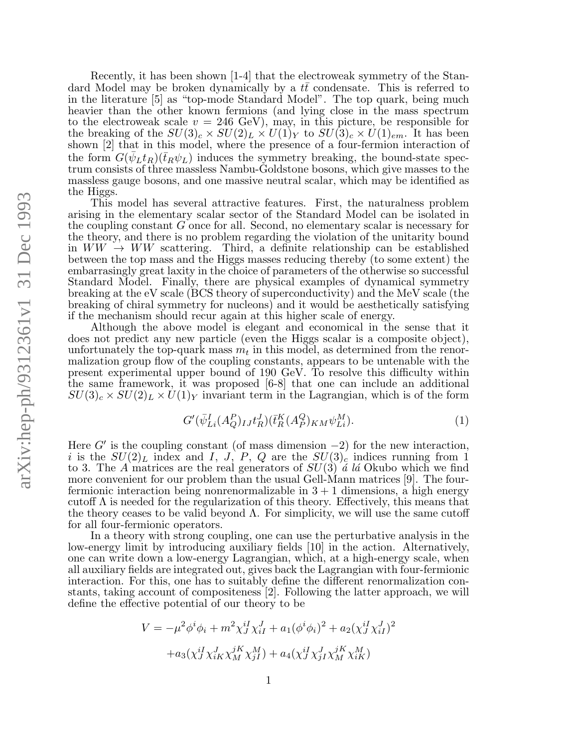Recently, it has been shown [1-4] that the electroweak symmetry of the Standard Model may be broken dynamically by a  $t\bar{t}$  condensate. This is referred to in the literature [5] as "top-mode Standard Model". The top quark, being much heavier than the other known fermions (and lying close in the mass spectrum to the electroweak scale  $v = 246 \text{ GeV}$ , may, in this picture, be responsible for the breaking of the  $SU(3)_c \times SU(2)_L \times U(1)_Y$  to  $SU(3)_c \times U(1)_{em}$ . It has been shown [2] that in this model, where the presence of a four-fermion interaction of the form  $G(\bar{\psi}_L t_R)(\bar{t}_R \psi_L)$  induces the symmetry breaking, the bound-state spectrum consists of three massless Nambu-Goldstone bosons, which give masses to the massless gauge bosons, and one massive neutral scalar, which may be identified as the Higgs.

This model has several attractive features. First, the naturalness problem arising in the elementary scalar sector of the Standard Model can be isolated in the coupling constant G once for all. Second, no elementary scalar is necessary for the theory, and there is no problem regarding the violation of the unitarity bound in  $WW \rightarrow WW$  scattering. Third, a definite relationship can be established between the top mass and the Higgs masses reducing thereby (to some extent) the embarrasingly great laxity in the choice of parameters of the otherwise so successful Standard Model. Finally, there are physical examples of dynamical symmetry breaking at the eV scale (BCS theory of superconductivity) and the MeV scale (the breaking of chiral symmetry for nucleons) and it would be aesthetically satisfying if the mechanism should recur again at this higher scale of energy.

Although the above model is elegant and economical in the sense that it does not predict any new particle (even the Higgs scalar is a composite object), unfortunately the top-quark mass  $m_t$  in this model, as determined from the renormalization group flow of the coupling constants, appears to be untenable with the present experimental upper bound of 190 GeV. To resolve this difficulty within the same framework, it was proposed [6-8] that one can include an additional  $SU(3)_c \times SU(2)_L \times U(1)_Y$  invariant term in the Lagrangian, which is of the form

$$
G'(\bar{\psi}_{Li}^I(A_Q^P)_{IJ}t_R^J)(\bar{t}_R^K(A_P^Q)_{KM}\psi_{Li}^M). \tag{1}
$$

Here  $G'$  is the coupling constant (of mass dimension -2) for the new interaction, i is the  $SU(2)_L$  index and I, J, P, Q are the  $SU(3)_c$  indices running from 1 to 3. The A matrices are the real generators of  $SU(3)$  *a* la Okubo which we find more convenient for our problem than the usual Gell-Mann matrices [9]. The fourfermionic interaction being nonrenormalizable in  $3 + 1$  dimensions, a high energy cutoff  $\Lambda$  is needed for the regularization of this theory. Effectively, this means that the theory ceases to be valid beyond  $\Lambda$ . For simplicity, we will use the same cutoff for all four-fermionic operators.

In a theory with strong coupling, one can use the perturbative analysis in the low-energy limit by introducing auxiliary fields [10] in the action. Alternatively, one can write down a low-energy Lagrangian, which, at a high-energy scale, when all auxiliary fields are integrated out, gives back the Lagrangian with four-fermionic interaction. For this, one has to suitably define the different renormalization constants, taking account of compositeness [2]. Following the latter approach, we will define the effective potential of our theory to be

$$
V = -\mu^2 \phi^i \phi_i + m^2 \chi_{J}^{iI} \chi_{iI}^{J} + a_1 (\phi^i \phi_i)^2 + a_2 (\chi_{J}^{iI} \chi_{iI}^{J})^2
$$

$$
+ a_3 (\chi_{J}^{iI} \chi_{iK}^{J} \chi_{M}^{jK} \chi_{jI}^{M}) + a_4 (\chi_{J}^{iI} \chi_{jI}^{J} \chi_{M}^{jK} \chi_{iK}^{M})
$$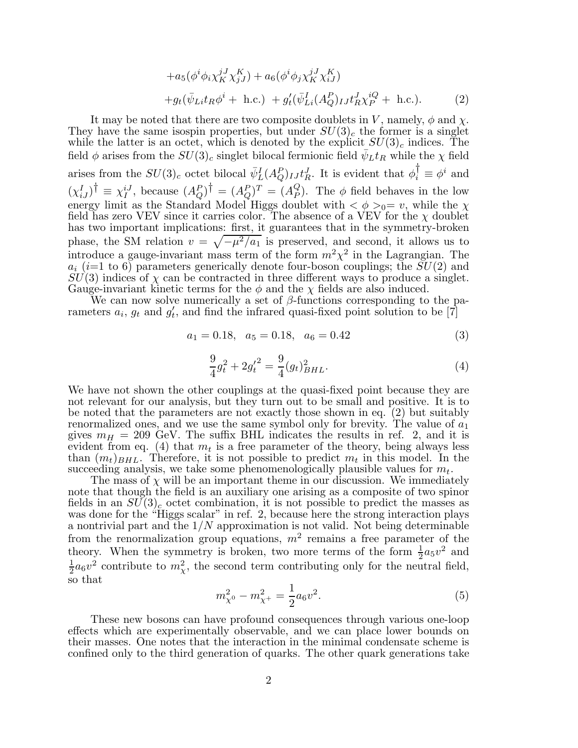$$
+a_5(\phi^i \phi_i \chi_K^{jJ} \chi_{jJ}^K) + a_6(\phi^i \phi_j \chi_K^{jJ} \chi_{iJ}^K) +g_t(\bar{\psi}_{Li} t_R \phi^i + \text{ h.c.}) + g_t'(\bar{\psi}_{Li}^I (A_Q^P)_{IJ} t_R^J \chi_P^{iQ} + \text{ h.c.}).
$$
 (2)

It may be noted that there are two composite doublets in V, namely,  $\phi$  and  $\chi$ . They have the same isospin properties, but under  $SU(3)_c$  the former is a singlet while the latter is an octet, which is denoted by the explicit  $SU(3)_c$  indices. The field  $\phi$  arises from the  $SU(3)_c$  singlet bilocal fermionic field  $\bar{\psi}_L t_R$  while the  $\chi$  field arises from the  $SU(3)_c$  octet bilocal  $\bar{\psi}_L^I(A_Q^P)_{IJ}t_R^J$ . It is evident that  $\phi_i^{\dagger} \equiv \phi^i$  and  $(\chi_{iJ}^I)^\dagger \equiv \chi_I^{iJ}$ , because  $(A_Q^P)^\dagger = (A_Q^P)^T = (A_P^Q)$  $_P^Q$ ). The  $\phi$  field behaves in the low energy limit as the Standard Model Higgs doublet with  $\langle \phi \rangle_{0} = v$ , while the  $\chi$ field has zero VEV since it carries color. The absence of a VEV for the  $\chi$  doublet has two important implications: first, it guarantees that in the symmetry-broken phase, the SM relation  $v = \sqrt{-\mu^2/a_1}$  is preserved, and second, it allows us to introduce a gauge-invariant mass term of the form  $m^2\chi^2$  in the Lagrangian. The  $a_i$  (i=1 to 6) parameters generically denote four-boson couplings; the  $SU(2)$  and  $SU(3)$  indices of  $\chi$  can be contracted in three different ways to produce a singlet. Gauge-invariant kinetic terms for the  $\phi$  and the  $\chi$  fields are also induced.

We can now solve numerically a set of  $\beta$ -functions corresponding to the parameters  $a_i$ ,  $g_t$  and  $g'_t$  $t'$ , and find the infrared quasi-fixed point solution to be [7]

$$
a_1 = 0.18, \quad a_5 = 0.18, \quad a_6 = 0.42 \tag{3}
$$

$$
\frac{9}{4}g_t^2 + 2g_t'^2 = \frac{9}{4}(g_t)_{BHL}^2.
$$
\n(4)

We have not shown the other couplings at the quasi-fixed point because they are not relevant for our analysis, but they turn out to be small and positive. It is to be noted that the parameters are not exactly those shown in eq. (2) but suitably renormalized ones, and we use the same symbol only for brevity. The value of  $a_1$ gives  $m_H = 209$  GeV. The suffix BHL indicates the results in ref. 2, and it is evident from eq. (4) that  $m_t$  is a free parameter of the theory, being always less than  $(m_t)_{BHL}$ . Therefore, it is not possible to predict  $m_t$  in this model. In the succeeding analysis, we take some phenomenologically plausible values for  $m_t$ .

The mass of  $\chi$  will be an important theme in our discussion. We immediately note that though the field is an auxiliary one arising as a composite of two spinor fields in an  $SU(3)_c$  octet combination, it is not possible to predict the masses as was done for the "Higgs scalar" in ref. 2, because here the strong interaction plays a nontrivial part and the  $1/N$  approximation is not valid. Not being determinable from the renormalization group equations,  $m^2$  remains a free parameter of the theory. When the symmetry is broken, two more terms of the form  $\frac{1}{2}a_5v^2$  and 1  $\frac{1}{2}a_6v^2$  contribute to  $m_\chi^2$ , the second term contributing only for the neutral field, so that

$$
m_{\chi^0}^2 - m_{\chi^+}^2 = \frac{1}{2} a_6 v^2.
$$
 (5)

These new bosons can have profound consequences through various one-loop effects which are experimentally observable, and we can place lower bounds on their masses. One notes that the interaction in the minimal condensate scheme is confined only to the third generation of quarks. The other quark generations take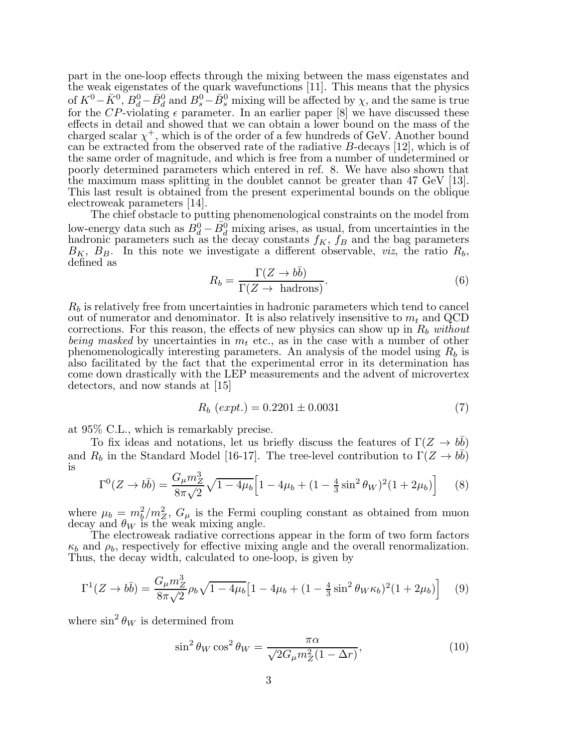part in the one-loop effects through the mixing between the mass eigenstates and the weak eigenstates of the quark wavefunctions [11]. This means that the physics of  $K^0 - \bar{K}^0$ ,  $B_d^0 - \bar{B}_d^0$  and  $B_s^0 - \bar{B}_s^0$  mixing will be affected by  $\chi$ , and the same is true for the CP-violating  $\epsilon$  parameter. In an earlier paper [8] we have discussed these effects in detail and showed that we can obtain a lower bound on the mass of the charged scalar  $\chi^+$ , which is of the order of a few hundreds of GeV. Another bound can be extracted from the observed rate of the radiative B-decays [12], which is of the same order of magnitude, and which is free from a number of undetermined or poorly determined parameters which entered in ref. 8. We have also shown that the maximum mass splitting in the doublet cannot be greater than 47 GeV [13]. This last result is obtained from the present experimental bounds on the oblique electroweak parameters [14].

The chief obstacle to putting phenomenological constraints on the model from low-energy data such as  $\bar{B}_d^0 - \bar{B}_d^0$  mixing arises, as usual, from uncertainties in the hadronic parameters such as the decay constants  $f_K$ ,  $f_B$  and the bag parameters  $B_K$ ,  $B_B$ . In this note we investigate a different observable, *viz*, the ratio  $R_b$ , defined as

$$
R_b = \frac{\Gamma(Z \to b\bar{b})}{\Gamma(Z \to \text{ hadrons})}.
$$
 (6)

 $R_b$  is relatively free from uncertainties in hadronic parameters which tend to cancel out of numerator and denominator. It is also relatively insensitive to  $m_t$  and QCD corrections. For this reason, the effects of new physics can show up in  $R_b$  without being masked by uncertainties in  $m_t$  etc., as in the case with a number of other phenomenologically interesting parameters. An analysis of the model using  $R_b$  is also facilitated by the fact that the experimental error in its determination has come down drastically with the LEP measurements and the advent of microvertex detectors, and now stands at [15]

$$
R_b (expt.) = 0.2201 \pm 0.0031
$$
 (7)

at 95% C.L., which is remarkably precise.

To fix ideas and notations, let us briefly discuss the features of  $\Gamma(Z \to b\bar{b})$ and  $R_b$  in the Standard Model [16-17]. The tree-level contribution to  $\Gamma(Z \to b\bar{b})$ is

$$
\Gamma^{0}(Z \to b\bar{b}) = \frac{G_{\mu}m_{Z}^{3}}{8\pi\sqrt{2}}\sqrt{1 - 4\mu_{b}} \Big[1 - 4\mu_{b} + (1 - \frac{4}{3}\sin^{2}\theta_{W})^{2}(1 + 2\mu_{b})\Big] \tag{8}
$$

where  $\mu_b = m_b^2/m_Z^2$ ,  $G_\mu$  is the Fermi coupling constant as obtained from muon decay and  $\theta_W$  is the weak mixing angle.

The electroweak radiative corrections appear in the form of two form factors  $\kappa_b$  and  $\rho_b$ , respectively for effective mixing angle and the overall renormalization. Thus, the decay width, calculated to one-loop, is given by

$$
\Gamma^{1}(Z \to b\bar{b}) = \frac{G_{\mu}m_{Z}^{3}}{8\pi\sqrt{2}}\rho_{b}\sqrt{1-4\mu_{b}}\left[1-4\mu_{b}+(1-\frac{4}{3}\sin^{2}\theta_{W}\kappa_{b})^{2}(1+2\mu_{b})\right] \quad (9)
$$

where  $\sin^2 \theta_W$  is determined from

$$
\sin^2 \theta_W \cos^2 \theta_W = \frac{\pi \alpha}{\sqrt{2G_\mu m_Z^2 (1 - \Delta r)}},\tag{10}
$$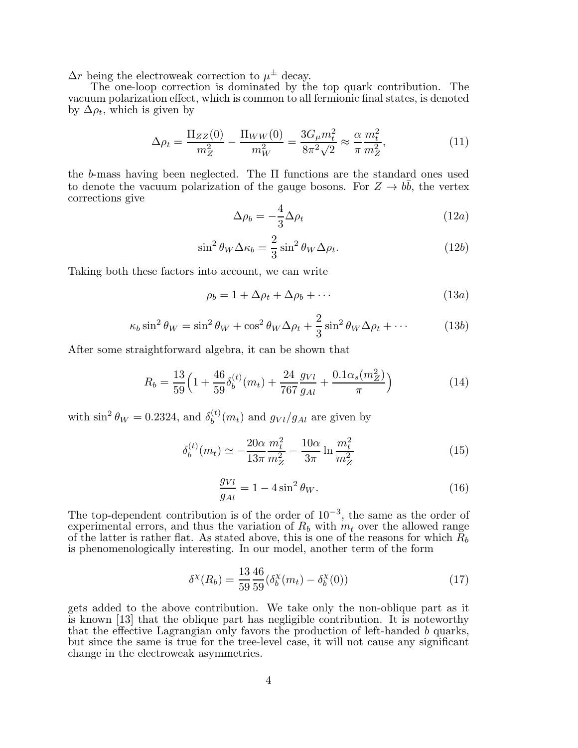$\Delta r$  being the electroweak correction to  $\mu^{\pm}$  decay.

The one-loop correction is dominated by the top quark contribution. The vacuum polarization effect, which is common to all fermionic final states, is denoted by  $\Delta \rho_t$ , which is given by

$$
\Delta \rho_t = \frac{\Pi_{ZZ}(0)}{m_Z^2} - \frac{\Pi_{WW}(0)}{m_W^2} = \frac{3G_\mu m_t^2}{8\pi^2 \sqrt{2}} \approx \frac{\alpha}{\pi} \frac{m_t^2}{m_Z^2},\tag{11}
$$

the b-mass having been neglected. The Π functions are the standard ones used to denote the vacuum polarization of the gauge bosons. For  $Z \to b\bar{b}$ , the vertex corrections give

$$
\Delta \rho_b = -\frac{4}{3} \Delta \rho_t \tag{12a}
$$

$$
\sin^2 \theta_W \Delta \kappa_b = \frac{2}{3} \sin^2 \theta_W \Delta \rho_t.
$$
 (12b)

Taking both these factors into account, we can write

$$
\rho_b = 1 + \Delta \rho_t + \Delta \rho_b + \cdots \tag{13a}
$$

$$
\kappa_b \sin^2 \theta_W = \sin^2 \theta_W + \cos^2 \theta_W \Delta \rho_t + \frac{2}{3} \sin^2 \theta_W \Delta \rho_t + \cdots \tag{13b}
$$

After some straightforward algebra, it can be shown that

$$
R_b = \frac{13}{59} \left( 1 + \frac{46}{59} \delta_b^{(t)}(m_t) + \frac{24}{767} \frac{g_{Vl}}{g_{Al}} + \frac{0.1 \alpha_s(m_Z^2)}{\pi} \right)
$$
(14)

with  $\sin^2 \theta_W = 0.2324$ , and  $\delta_b^{(t)}$  $b^{(t)}(m_t)$  and  $g_{Vl}/g_{Al}$  are given by

$$
\delta_b^{(t)}(m_t) \simeq -\frac{20\alpha}{13\pi} \frac{m_t^2}{m_Z^2} - \frac{10\alpha}{3\pi} \ln \frac{m_t^2}{m_Z^2}
$$
\n(15)

$$
\frac{g_{Vl}}{g_{Al}} = 1 - 4\sin^2\theta_W.
$$
\n(16)

The top-dependent contribution is of the order of  $10^{-3}$ , the same as the order of experimental errors, and thus the variation of  $R_b$  with  $m_t$  over the allowed range of the latter is rather flat. As stated above, this is one of the reasons for which  $R_b$ is phenomenologically interesting. In our model, another term of the form

$$
\delta^{\chi}(R_b) = \frac{13}{59} \frac{46}{59} (\delta_b^{\chi}(m_t) - \delta_b^{\chi}(0))
$$
\n(17)

gets added to the above contribution. We take only the non-oblique part as it is known [13] that the oblique part has negligible contribution. It is noteworthy that the effective Lagrangian only favors the production of left-handed b quarks, but since the same is true for the tree-level case, it will not cause any significant change in the electroweak asymmetries.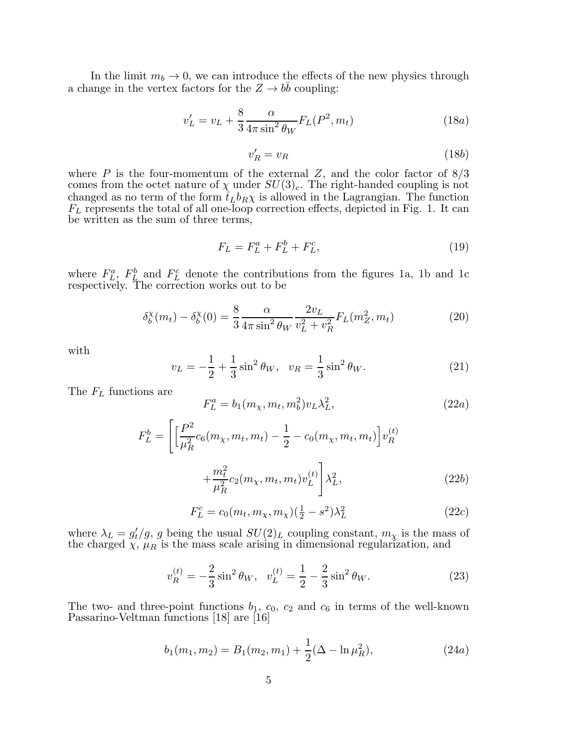In the limit  $m_b \to 0$ , we can introduce the effects of the new physics through a change in the vertex factors for the  $Z \to b\bar{b}$  coupling:

$$
v_L' = v_L + \frac{8}{3} \frac{\alpha}{4\pi \sin^2 \theta_W} F_L(P^2, m_t)
$$
\n(18*a*)

$$
v_R' = v_R \tag{18b}
$$

where  $P$  is the four-momentum of the external  $Z$ , and the color factor of  $8/3$ comes from the octet nature of  $\chi$  under  $SU(3)_c$ . The right-handed coupling is not changed as no term of the form  $\bar{t}_L b_R \chi$  is allowed in the Lagrangian. The function  $F_L$  represents the total of all one-loop correction effects, depicted in Fig. 1. It can be written as the sum of three terms,

$$
F_L = F_L^a + F_L^b + F_L^c,\t\t(19)
$$

where  $F_L^a$ ,  $F_L^b$  and  $F_L^c$  denote the contributions from the figures 1a, 1b and 1c respectively. The correction works out to be

$$
\delta_b^{\chi}(m_t) - \delta_b^{\chi}(0) = \frac{8}{3} \frac{\alpha}{4\pi \sin^2 \theta_W} \frac{2v_L}{v_L^2 + v_R^2} F_L(m_Z^2, m_t)
$$
(20)

with

$$
v_L = -\frac{1}{2} + \frac{1}{3}\sin^2\theta_W, \quad v_R = \frac{1}{3}\sin^2\theta_W.
$$
 (21)

The  $F_L$  functions are

$$
F_L^a = b_1(m_\chi, m_t, m_b^2) v_L \lambda_L^2, \qquad (22a)
$$

$$
F_L^b = \left[ \left[ \frac{P^2}{\mu_R^2} c_6(m_\chi, m_t, m_t) - \frac{1}{2} - c_0(m_\chi, m_t, m_t) \right] v_R^{(t)} + \frac{m_t^2}{\mu_R^2} c_2(m_\chi, m_t, m_t) v_L^{(t)} \right] \lambda_L^2,
$$
\n(22b)

$$
F_L^c = c_0(m_t, m_\chi, m_\chi)(\frac{1}{2} - s^2)\lambda_L^2
$$
 (22*c*)

where  $\lambda_L = g'_t$  $t'/g$ , g being the usual  $SU(2)_L$  coupling constant,  $m_\chi$  is the mass of the charged  $\chi$ ,  $\mu_R$  is the mass scale arising in dimensional regularization, and

$$
v_R^{(t)} = -\frac{2}{3}\sin^2\theta_W, \quad v_L^{(t)} = \frac{1}{2} - \frac{2}{3}\sin^2\theta_W. \tag{23}
$$

The two- and three-point functions  $b_1, c_0, c_2$  and  $c_6$  in terms of the well-known Passarino-Veltman functions [18] are [16]

$$
b_1(m_1, m_2) = B_1(m_2, m_1) + \frac{1}{2}(\Delta - \ln \mu_R^2), \qquad (24a)
$$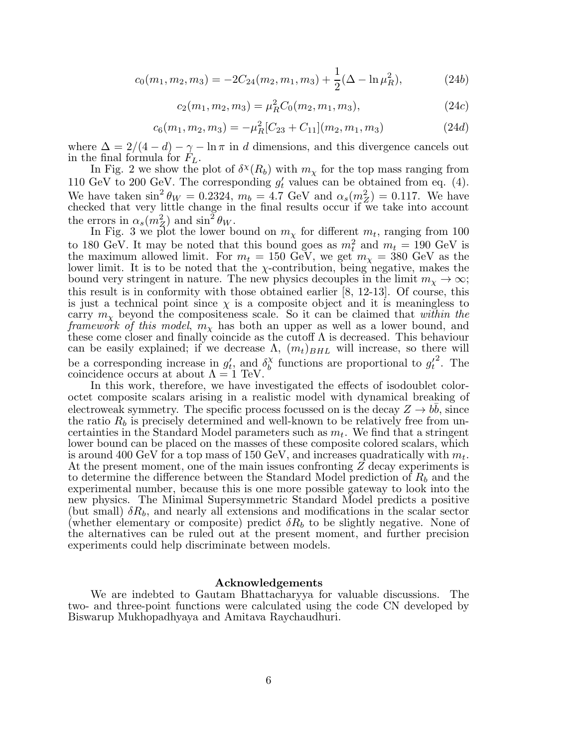$$
c_0(m_1, m_2, m_3) = -2C_{24}(m_2, m_1, m_3) + \frac{1}{2}(\Delta - \ln \mu_R^2), \tag{24b}
$$

$$
c_2(m_1, m_2, m_3) = \mu_R^2 C_0(m_2, m_1, m_3), \qquad (24c)
$$

$$
c_6(m_1, m_2, m_3) = -\mu_R^2 [C_{23} + C_{11}](m_2, m_1, m_3)
$$
\n(24*d*)

where  $\Delta = 2/(4 - d) - \gamma - \ln \pi$  in d dimensions, and this divergence cancels out in the final formula for  $F<sub>L</sub>$ .

In Fig. 2 we show the plot of  $\delta^{\chi}(R_b)$  with  $m_{\chi}$  for the top mass ranging from 110 GeV to 200 GeV. The corresponding  $g'_t$  values can be obtained from eq. (4). We have taken  $\sin^2 \theta_W = 0.2324$ ,  $m_b = 4.7$  GeV and  $\alpha_s(m_Z^2) = 0.117$ . We have checked that very little change in the final results occur if we take into account the errors in  $\alpha_s(m_Z^2)$  and  $\sin^2 \theta_W$ .

In Fig. 3 we plot the lower bound on  $m_{\chi}$  for different  $m_t$ , ranging from 100 to 180 GeV. It may be noted that this bound goes as  $m_t^2$  and  $m_t = 190$  GeV is the maximum allowed limit. For  $m_t = 150$  GeV, we get  $m_\chi = 380$  GeV as the lower limit. It is to be noted that the  $\chi$ -contribution, being negative, makes the bound very stringent in nature. The new physics decouples in the limit  $m_{\chi} \to \infty$ ; this result is in conformity with those obtained earlier [8, 12-13]. Of course, this is just a technical point since  $\chi$  is a composite object and it is meaningless to carry  $m_{\chi}$  beyond the compositeness scale. So it can be claimed that within the *framework of this model,*  $m<sub>\chi</sub>$  has both an upper as well as a lower bound, and these come closer and finally coincide as the cutoff  $\Lambda$  is decreased. This behaviour can be easily explained; if we decrease  $\Lambda$ ,  $(m_t)_{BHL}$  will increase, so there will be a corresponding increase in  $g_t'$  $t'$ , and  $\delta_b^{\chi}$  $\chi_b^{\chi}$  functions are proportional to  $g_t'$ t <sup>2</sup>. The coincidence occurs at about  $\Lambda = 1$  TeV.

In this work, therefore, we have investigated the effects of isodoublet coloroctet composite scalars arising in a realistic model with dynamical breaking of electroweak symmetry. The specific process focussed on is the decay  $Z \to b\bar{b}$ , since the ratio  $R_b$  is precisely determined and well-known to be relatively free from uncertainties in the Standard Model parameters such as  $m_t$ . We find that a stringent lower bound can be placed on the masses of these composite colored scalars, which is around 400 GeV for a top mass of 150 GeV, and increases quadratically with  $m_t$ . At the present moment, one of the main issues confronting Z decay experiments is to determine the difference between the Standard Model prediction of  $R_b$  and the experimental number, because this is one more possible gateway to look into the new physics. The Minimal Supersymmetric Standard Model predicts a positive (but small)  $\delta R_b$ , and nearly all extensions and modifications in the scalar sector (whether elementary or composite) predict  $\delta R_b$  to be slightly negative. None of the alternatives can be ruled out at the present moment, and further precision experiments could help discriminate between models.

## Acknowledgements

We are indebted to Gautam Bhattacharyya for valuable discussions. The two- and three-point functions were calculated using the code CN developed by Biswarup Mukhopadhyaya and Amitava Raychaudhuri.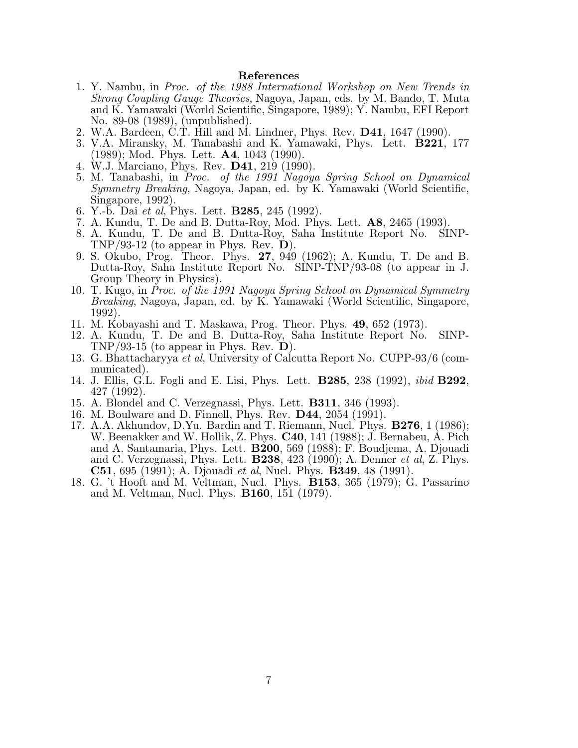## References

- 1. Y. Nambu, in Proc. of the 1988 International Workshop on New Trends in Strong Coupling Gauge Theories, Nagoya, Japan, eds. by M. Bando, T. Muta and K. Yamawaki (World Scientific, Singapore, 1989); Y. Nambu, EFI Report No. 89-08 (1989), (unpublished).
- 2. W.A. Bardeen, C.T. Hill and M. Lindner, Phys. Rev. D41, 1647 (1990).
- 3. V.A. Miransky, M. Tanabashi and K. Yamawaki, Phys. Lett. B221, 177 (1989); Mod. Phys. Lett. A4, 1043 (1990).
- 4. W.J. Marciano, Phys. Rev. D41, 219 (1990).
- 5. M. Tanabashi, in Proc. of the 1991 Nagoya Spring School on Dynamical Symmetry Breaking, Nagoya, Japan, ed. by K. Yamawaki (World Scientific, Singapore, 1992).
- 6. Y.-b. Dai *et al*, Phys. Lett. **B285**, 245 (1992).
- 7. A. Kundu, T. De and B. Dutta-Roy, Mod. Phys. Lett. A8, 2465 (1993).
- 8. A. Kundu, T. De and B. Dutta-Roy, Saha Institute Report No. SINP-TNP/93-12 (to appear in Phys. Rev.  $\mathbf{D}$ ).
- 9. S. Okubo, Prog. Theor. Phys. 27, 949 (1962); A. Kundu, T. De and B. Dutta-Roy, Saha Institute Report No. SINP-TNP/93-08 (to appear in J. Group Theory in Physics).
- 10. T. Kugo, in Proc. of the 1991 Nagoya Spring School on Dynamical Symmetry Breaking, Nagoya, Japan, ed. by K. Yamawaki (World Scientific, Singapore, 1992).
- 11. M. Kobayashi and T. Maskawa, Prog. Theor. Phys. 49, 652 (1973).
- 12. A. Kundu, T. De and B. Dutta-Roy, Saha Institute Report No. SINP-TNP/93-15 (to appear in Phys. Rev.  $D$ ).
- 13. G. Bhattacharyya et al, University of Calcutta Report No. CUPP-93/6 (communicated).
- 14. J. Ellis, G.L. Fogli and E. Lisi, Phys. Lett. B285, 238 (1992), ibid B292, 427 (1992).
- 15. A. Blondel and C. Verzegnassi, Phys. Lett. B311, 346 (1993).
- 16. M. Boulware and D. Finnell, Phys. Rev. D44, 2054 (1991).
- 17. A.A. Akhundov, D.Yu. Bardin and T. Riemann, Nucl. Phys. B276, 1 (1986); W. Beenakker and W. Hollik, Z. Phys. C40, 141 (1988); J. Bernabeu, A. Pich and A. Santamaria, Phys. Lett. B200, 569 (1988); F. Boudjema, A. Djouadi and C. Verzegnassi, Phys. Lett.  $\bf{B238}$ , 423 (1990); A. Denner *et al*, Z. Phys. **C51**, 695 (1991); A. Djouadi *et al*, Nucl. Phys. **B349**, 48 (1991).
- 18. G. 't Hooft and M. Veltman, Nucl. Phys. B153, 365 (1979); G. Passarino and M. Veltman, Nucl. Phys. B160, 151 (1979).